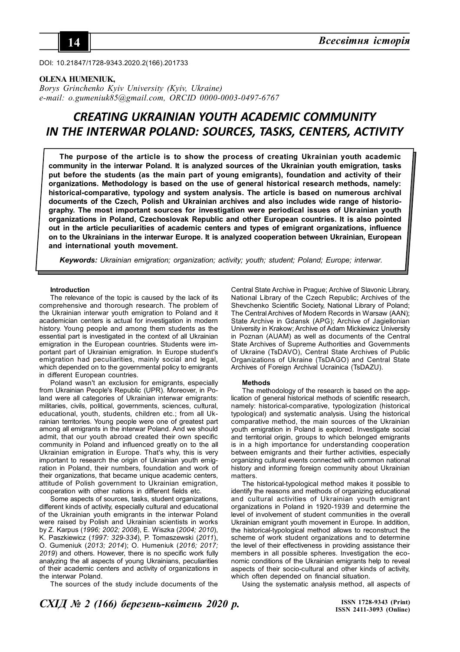

DOI: 10.21847/1728-9343.2020.2(166).201733

### **OLENA HUMENIUK,**

*Borys Grinchenko Kyiv University (Kyiv, Ukraine) e-mail: o.gumeniuk85@gmail.com, ORCID 0000-0003-0497-6767*

# *CREATING UKRAINIAN YOUTH ACADEMIC COMMUNITY IN THE INTERWAR POLAND: SOURCES, TASKS, CENTERS, ACTIVITY*

**The purpose of the article is to show the process of creating Ukrainian youth academic community in the interwar Poland. It is analyzed sources of the Ukrainian youth emigration, tasks put before the students (as the main part of young emigrants), foundation and activity of their organizations. Methodology is based on the use of general historical research methods, namely: historical-comparative, typology and system analysis. The article is based on numerous archival documents of the Czech, Polish and Ukrainian archives and also includes wide range of historiography. The most important sources for investigation were periodical issues of Ukrainian youth organizations in Poland, Czechoslovak Republic and other European countries. It is also pointed out in the article peculiarities of academic centers and types of emigrant organizations, influence on to the Ukrainians in the interwar Europe. It is analyzed cooperation between Ukrainian, European and international youth movement.**

*Keywords: Ukrainian emigration; organization; activity; youth; student; Poland; Europe; interwar.*

### **Introduction**

The relevance of the topic is caused by the lack of its comprehensive and thorough research. The problem of the Ukrainian interwar youth emigration to Poland and it academician centers is actual for investigation in modern history. Young people and among them students as the essential part is investigated in the context of all Ukrainian emigration in the European countries. Students were important part of Ukrainian emigration. In Europe student's emigration had peculiarities, mainly social and legal, which depended on to the governmental policy to emigrants in different European countries.

Poland wasn't an exclusion for emigrants, especially from Ukrainian People's Republic (UPR). Moreover, in Poland were all categories of Ukrainian interwar emigrants: militaries, civils, political, governments, sciences, cultural, educational, youth, students, children etc.; from all Ukrainian territories. Young people were one of greatest part among all emigrants in the interwar Poland. And we should admit, that our youth abroad created their own specific community in Poland and influenced greatly on to the all Ukrainian emigration in Europe. That's why, this is very important to research the origin of Ukrainian youth emigration in Poland, their numbers, foundation and work of their organizations, that became unique academic centers, attitude of Polish government to Ukrainian emigration, cooperation with other nations in different fields etc.

Some aspects of sources, tasks, student organizations, different kinds of activity, especially cultural and educational of the Ukrainian youth emigrants in the interwar Poland were raised by Polish and Ukrainian scientists in works by Z. Karpus (*1996; 2002; 2008*), E. Wiszka (*2004; 2010*), K. Paszkiewicz (*1997: 329-334*), P. Tomaszewski (*2011*), O. Gumeniuk (*2013; 2014*); O. Humeniuk (*2016; 2017; 2019*) and others. However, there is no specific work fully analyzing the all aspects of young Ukrainians, peculiarities of their academic centers and activity of organizations in the interwar Poland.

The sources of the study include documents of the

Central State Archive in Prague; Archive of Slavonic Library, National Library of the Czech Republic; Archives of the Shevchenko Scientific Society, National Library of Poland; The Central Archives of Modern Records in Warsaw (AAN); State Archive in Gdansk (APG); Archive of Jagiellonian University in Krakow; Archive of Adam Mickiewicz University in Poznan (AUAM) as well as documents of the Central State Archives of Supreme Authorities and Governments of Ukraine (TsDAVO), Central State Archives of Public Organizations of Ukraine (TsDAGO) and Central State Archives of Foreign Archival Ucrainica (TsDAZU).

### **Methods**

The methodology of the research is based on the application of general historical methods of scientific research, namely: historical-comparative, typologization (historical typological) and systematic analysis. Using the historical comparative method, the main sources of the Ukrainian youth emigration in Poland is explored. Investigate social and territorial origin, groups to which belonged emigrants is in a high importance for understanding cooperation between emigrants and their further activities, especially organizing cultural events connected with common national history and informing foreign community about Ukrainian matters.

The historical-typological method makes it possible to identify the reasons and methods of organizing educational and cultural activities of Ukrainian youth emigrant organizations in Poland in 1920-1939 and determine the level of involvement of student communities in the overall Ukrainian emigrant youth movement in Europe. In addition, the historical-typological method allows to reconstruct the scheme of work student organizations and to determine the level of their effectiveness in providing assistance their members in all possible spheres. Investigation the economic conditions of the Ukrainian emigrants help to reveal aspects of their socio-cultural and other kinds of activity, which often depended on financial situation.

Using the systematic analysis method, all aspects of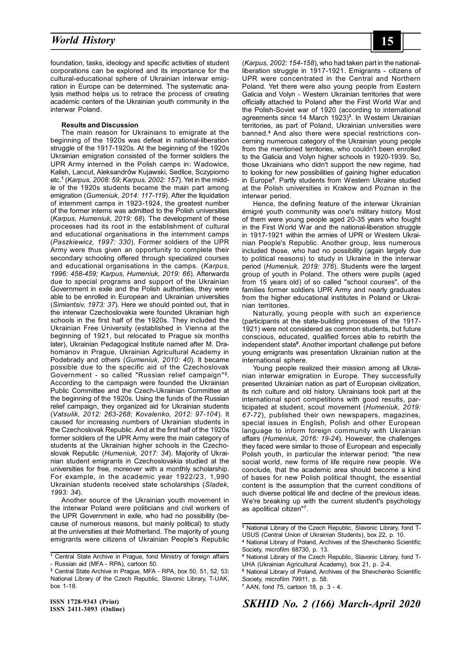## *Social Philosophy* **15** *World History*

foundation, tasks, ideology and specific activities of student corporations can be explored and its importance for the cultural-educational sphere of Ukrainian interwar emigration in Europe can be determined. The systematic analysis method helps us to retrace the process of creating academic centers of the Ukrainian youth community in the interwar Poland.

### **Results and Discussion**

The main reason for Ukrainians to emigrate at the beginning of the 1920s was defeat in national-liberation struggle of the 1917-1920s. At the beginning of the 1920s Ukrainian emigration consisted of the former soldiers the UPR Army interned in the Polish camps in: Wadowice, Kalish, Lancut, Aleksandrów Kujawski, Sedlice, Sczypiorno etc.**<sup>1</sup>** (*Karpus, 2008: 59; Karpus, 2002: 157*). Yet in the middle of the 1920s students became the main part among emigration (*Gumeniuk, 2014: 117-119*). After the liquidation of internment camps in 1923-1924, the greatest number of the former interns was admitted to the Polish universities (*Karpus, Humeniuk, 2019: 68*). The development of these processes had its root in the establishment of cultural and educational organisations in the internment camps (*Paszkiewicz, 1997: 330*). Former soldiers of the UPR Army were thus given an opportunity to complete their secondary schooling offered through specialized courses and educational organisations in the camps. (*Karpus, 1996: 458-459; Karpus, Humeniuk, 2019: 66*). Afterwards due to special programs and support of the Ukrainian Government in exile and the Polish authorities, they were able to be enrolled in European and Ukrainian universities (*Simiantsiv, 1973: 37*). Here we should pointed out, that in the interwar Czechoslovakia were founded Ukrainian high schools in the first half of the 1920s. They included the Ukrainian Free University (established in Vienna at the beginning of 1921, but relocated to Prague six months later), Ukrainian Pedagogical Institute named after M. Drahomanov in Prague, Ukrainian Agricultural Academy in Podebrady and others (*Gumeniuk, 2010: 40*). It became possible due to the specific aid of the Czechoslovak Government - so called "Russian relief campaign"**<sup>2</sup>** . According to the campaign were founded the Ukrainian Public Committee and the Czech-Ukrainian Committee at the beginning of the 1920s. Using the funds of the Russian relief campaign, they organized aid for Ukrainian students (*Vatsulik, 2012: 263-268; Kovalenko, 2012: 97-104*). It caused for increasing numbers of Ukrainian students in the Czechoslovak Republic. And at the first half of the 1920s former soldiers of the UPR Army were the main category of students at the Ukrainian higher schools in the Czechoslovak Republic (*Humeniuk, 2017: 34*). Majority of Ukrainian student emigrants in Czechoslovakia studied at the universities for free, moreover with a monthly scholarship. For example, in the academic year 1922/23, 1,990 Ukrainian students received state scholarships (*Sladek, 1993: 34*).

Another source of the Ukrainian youth movement in the interwar Poland were politicians and civil workers of the UPR Government in exile, who had no possibility (because of numerous reasons, but mainly political) to study at the universities at their Motherland. The majority of young emigrants were citizens of Ukrainian People's Republic

(*Karpus, 2002: 154-158*), who had taken part in the nationalliberation struggle in 1917-1921. Emigrants - citizens of UPR were concentrated in the Central and Northern Poland. Yet there were also young people from Eastern Galicia and Volyn - Western Ukrainian territories that were officially attached to Poland after the First World War and the Polish-Soviet war of 1920 (according to international agreements since 14 March 1923)**<sup>3</sup>** . In Western Ukrainian territories, as part of Poland, Ukrainian universities were banned.**<sup>4</sup>** And also there were special restrictions concerning numerous category of the Ukrainian young people from the mentioned territories, who couldn't been enrolled to the Galicia and Volyn higher schools in 1920-1939. So, those Ukrainians who didn't support the new regime, had to looking for new possibilities of gaining higher education in Europe**<sup>5</sup>** . Partly students from Western Ukraine studied at the Polish universities in Krakow and Poznan in the interwar period.

Hence, the defining feature of the interwar Ukrainian émigré youth community was one's military history. Most of them were young people aged 20-35 years who fought in the First World War and the national-liberation struggle in 1917-1921 within the armies of UPR or Western Ukrainian People's Republic. Another group, less numerous included those, who had no possibility (again largely due to political reasons) to study in Ukraine in the interwar period (*Humeniuk, 2019: 376*). Students were the largest group of youth in Poland. The others were pupils (aged from 15 years old) of so called "school courses", of the families former soldiers UPR Army and nearly graduates from the higher educational institutes in Poland or Ukrainian territories.

Naturally, young people with such an experience (participants at the state-building processes of the 1917- 1921) were not considered as common students, but future conscious, educated, qualified forces able to rebirth the independent state**<sup>6</sup>** . Another important challenge put before young emigrants was presentation Ukrainian nation at the international sphere.

Young people realized their mission among all Ukrainian interwar emigration in Europe. They successfully presented Ukrainian nation as part of European civilization, its rich culture and old history. Ukrainians took part at the international sport competitions with good results, participated at student, scout movement (*Humeniuk, 2019: 67-72*), published their own newspapers, magazines, special issues in English, Polish and other European language to inform foreign community with Ukrainian affairs (*Humeniuk, 2016: 19-24*). However, the challenges they faced were similar to those of European and especially Polish youth, in particular the interwar period: "the new social world, new forms of life require new people. We conclude, that the academic area should become a kind of bases for new Polish political thought, the essential content is the assumption that the current conditions of such diverse political life and decline of the previous ideas. We're breaking up with the current student's psychology as apolitical citizen"**<sup>7</sup>** .

**<sup>1</sup>** Central State Archive in Prague, fond Ministry of foreign affairs - Russian aid (MFA - RPA), cartoon 50.

**<sup>2</sup>** Central State Archive in Prague, MFA - RPA, box 50, 51, 52, 53; National Library of the Czech Republic, Slavonic Library, T-UAK, box 1-18.

**<sup>3</sup>** National Library of the Czech Republic, Slavonic Library, fond T-USUS (Central Union of Ukrainian Students), box 22, p. 10.

**<sup>4</sup>** National Library of Poland, Archives of the Shevchenko Scientific Society, microfilm 68730, p. 13.

**<sup>5</sup>** National Library of the Czech Republic, Slavonic Library, fond T-UHA (Ukrainian Agricultural Academy), box 21, p. 2-4.

**<sup>6</sup>** National Library of Poland, Archives of the Shevchenko Scientific Society, microfilm 79911, p. 58.

**<sup>7</sup>** AAN, fond 75, cartoon 18, p. 3 - 4.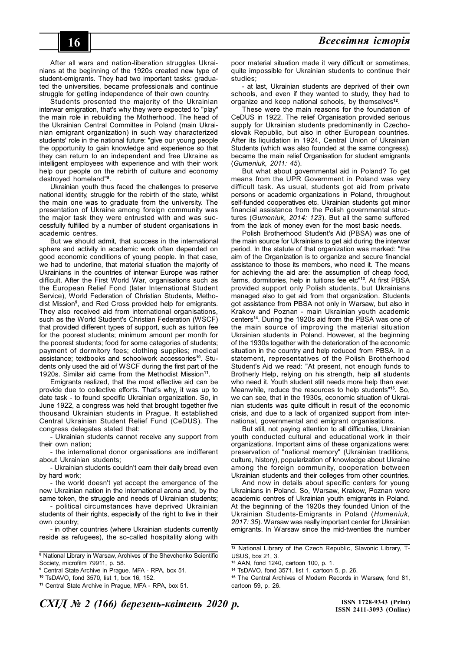After all wars and nation-liberation struggles Ukrainians at the beginning of the 1920s created new type of student-emigrants. They had two important tasks: graduated the universities, became professionals and continue struggle for getting independence of their own country.

Students presented the majority of the Ukrainian interwar emigration, that's why they were expected to "play" the main role in rebuilding the Motherhood. The head of the Ukrainian Central Committee in Poland (main Ukrainian emigrant organization) in such way characterized students' role in the national future: "give our young people the opportunity to gain knowledge and experience so that they can return to an independent and free Ukraine as intelligent employees with experience and with their work help our people on the rebirth of culture and economy destroyed homeland"**<sup>8</sup>** .

Ukrainian youth thus faced the challenges to preserve national identity, struggle for the rebirth of the state, whilst the main one was to graduate from the university. The presentation of Ukraine among foreign community was the major task they were entrusted with and was successfully fulfilled by a number of student organisations in academic centres.

But we should admit, that success in the international sphere and activity in academic work often depended on good economic conditions of young people. In that case, we had to underline, that material situation the majority of Ukrainians in the countries of interwar Europe was rather difficult. After the First World War, organisations such as the European Relief Fond (later International Student Service), World Federation of Christian Students, Methodist Mission**<sup>9</sup>** , and Red Cross provided help for emigrants. They also received aid from international organisations, such as the World Student's Christian Federation (WSCF) that provided different types of support, such as tuition fee for the poorest students; minimum amount per month for the poorest students; food for some categories of students; payment of dormitory fees; clothing supplies; medical assistance; textbooks and schoolwork accessories**10**. Students only used the aid of WSCF during the first part of the 1920s. Similar aid came from the Methodist Mission**<sup>11</sup>** .

Emigrants realized, that the most effective aid can be provide due to collective efforts. That's why, it was up to date task - to found specific Ukrainian organization. So, in June 1922, a congress was held that brought together five thousand Ukrainian students in Prague. It established Central Ukrainian Student Relief Fund (CeDUS). The congress delegates stated that:

- Ukrainian students cannot receive any support from their own nation;

- the international donor organisations are indifferent about Ukrainian students;

- Ukrainian students couldn't earn their daily bread even by hard work;

- the world doesn't yet accept the emergence of the new Ukrainian nation in the international arena and, by the same token, the struggle and needs of Ukrainian students;

- political circumstances have deprived Ukrainian students of their rights, especially of the right to live in their own country;

- in other countries (where Ukrainian students currently reside as refugees), the so-called hospitality along with poor material situation made it very difficult or sometimes, quite impossible for Ukrainian students to continue their studies;

- at last, Ukrainian students are deprived of their own schools, and even if they wanted to study, they had to organize and keep national schools, by themselves**<sup>12</sup>** .

These were the main reasons for the foundation of CeDUS in 1922. The relief Organisation provided serious supply for Ukrainian students predominantly in Czechoslovak Republic, but also in other European countries. After its liquidation in 1924, Central Union of Ukrainian Students (which was also founded at the same congress), became the main relief Organisation for student emigrants (*Gumeniuk, 2011: 45*).

But what about governmental aid in Poland? To get means from the UPR Government in Poland was very difficult task. As usual, students got aid from private persons or academic organizations in Poland, throughout self-funded cooperatives etc. Ukrainian students got minor financial assistance from the Polish governmental structures (*Gumeniuk, 2014: 123*). But all the same suffered from the lack of money even for the most basic needs.

Polish Brotherhood Student's Aid (PBSA) was one of the main source for Ukrainians to get aid during the interwar period. In the statute of that organization was marked: "the aim of the Organization is to organize and secure financial assistance to those its members, who need it. The means for achieving the aid are: the assumption of cheap food, farms, dormitories, help in tuitions fee etc"**<sup>13</sup>**. At first PBSA provided support only Polish students, but Ukrainians managed also to get aid from that organization. Students got assistance from PBSA not only in Warsaw, but also in Krakow and Poznan - main Ukrainian youth academic centers**<sup>14</sup>**. During the 1920s aid from the PBSA was one of the main source of improving the material situation Ukrainian students in Poland. However, at the beginning of the 1930s together with the deterioration of the economic situation in the country and help reduced from PBSA. In a statement, representatives of the Polish Brotherhood Student's Aid we read: "At present, not enough funds to Brotherly Help, relying on his strength, help all students who need it. Youth student still needs more help than ever. Meanwhile, reduce the resources to help students"**<sup>15</sup>**. So, we can see, that in the 1930s, economic situation of Ukrainian students was quite difficult in result of the economic crisis, and due to a lack of organized support from international, governmental and emigrant organisations.

But still, not paying attention to all difficulties, Ukrainian youth conducted cultural and educational work in their organizations. Important aims of these organizations were: preservation of "national memory" (Ukrainian traditions, culture, history), popularization of knowledge about Ukraine among the foreign community, cooperation between Ukrainian students and their colleges from other countries.

And now in details about specific centers for young Ukrainians in Poland. So, Warsaw, Krakow, Poznan were academic centres of Ukrainian youth emigrants in Poland. At the beginning of the 1920s they founded Union of the Ukrainian Students-Emigrants in Poland (*Humeniuk, 2017: 35*). Warsaw was really important center for Ukrainian emigrants. In Warsaw since the mid-twenties the number

**<sup>8</sup>** National Library in Warsaw, Archives of the Shevchenko Scientific Society, microfilm 79911, p. 58.

**<sup>9</sup>** Central State Archive in Prague, MFA - RPA, box 51.

**<sup>10</sup>** TsDAVO, fond 3570, list 1, box 16, 152.

**<sup>11</sup>** Central State Archive in Prague, MFA - RPA, box 51.

**<sup>12</sup>** National Library of the Czech Republic, Slavonic Library, T-USUS, box 21, 3.

**<sup>13</sup>** AAN, fond 1240, cartoon 100, p. 1.

**<sup>14</sup>** TsDAVO, fond 3571, list 1, cartoon 5, p. 26.

**<sup>15</sup>** The Central Archives of Modern Records in Warsaw, fond 81, cartoon 59, p. 26.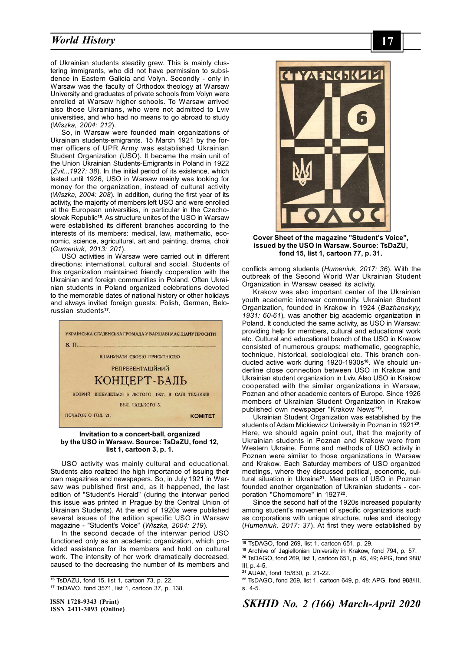### *Social Philosophy* **17** *World History*

of Ukrainian students steadily grew. This is mainly clustering immigrants, who did not have permission to subsidence in Eastern Galicia and Volyn. Secondly - only in Warsaw was the faculty of Orthodox theology at Warsaw University and graduates of private schools from Volyn were enrolled at Warsaw higher schools. To Warsaw arrived also those Ukrainians, who were not admitted to Lviv universities, and who had no means to go abroad to study (*Wiszka, 2004: 212*).

So, in Warsaw were founded main organizations of Ukrainian students-emigrants. 15 March 1921 by the former officers of UPR Army was established Ukrainian Student Organization (USO). It became the main unit of the Union Ukrainian Students-Emigrants in Poland in 1922 (*Zvit..,1927: 38*). In the initial period of its existence, which lasted until 1926, USO in Warsaw mainly was looking for money for the organization, instead of cultural activity (*Wiszka, 2004: 208*). In addition, during the first year of its activity, the majority of members left USO and were enrolled at the European universities, in particular in the Czechoslovak Republic**<sup>16</sup>**. As structure unites of the USO in Warsaw were established its different branches according to the interests of its members: medical, law, mathematic, economic, science, agricultural, art and painting, drama, choir (*Gumeniuk, 2013: 201*).

USO activities in Warsaw were carried out in different directions: international, cultural and social. Students of this organization maintained friendly cooperation with the Ukrainian and foreign communities in Poland. Often Ukrainian students in Poland organized celebrations devoted to the memorable dates of national history or other holidays and always invited foreign guests: Polish, German, Belorussian students**<sup>17</sup>** .



### **Invitation to a concert-ball, organized by the USO in Warsaw. Source: TsDaZU, fond 12, list 1, cartoon 3, p. 1.**

USO activity was mainly cultural and educational. Students also realized the high importance of issuing their own magazines and newspapers. So, in July 1921 in Warsaw was published first and, as it happened, the last edition of "Student's Herald" (during the interwar period this issue was printed in Prague by the Central Union of Ukrainian Students). At the end of 1920s were published several issues of the edition specific USO in Warsaw magazine - "Student's Voice" (*Wiszka, 2004: 219*).

In the second decade of the interwar period USO functioned only as an academic organization, which provided assistance for its members and hold on cultural work. The intensity of her work dramatically decreased, caused to the decreasing the number of its members and

**ISSN 1728-9343 (Print) ISSN 2411-3093 (Online)**



**Cover Sheet of the magazine "Student's Voice", issued by the USO in Warsaw. Source: TsDaZU, fond 15, list 1, cartoon 77, p. 31.**

conflicts among students (*Humeniuk, 2017: 36*). With the outbreak of the Second World War Ukrainian Student Organization in Warsaw ceased its activity.

Krakow was also important center of the Ukrainian youth academic interwar community. Ukrainian Student Organization, founded in Krakow in 1924 (*Bazhanskyy, 1931: 60-61*), was another big academic organization in Poland. It conducted the same activity, as USO in Warsaw: providing help for members, cultural and educational work etc. Cultural and educational branch of the USO in Krakow consisted of numerous groups: mathematic, geographic, technique, historical, sociological etc. This branch conducted active work during 1920-1930s**18**. We should underline close connection between USO in Krakow and Ukrainian student organization in Lviv. Also USO in Krakow cooperated with the similar organizations in Warsaw, Poznan and other academic centers of Europe. Since 1926 members of Ukrainian Student Organization in Krakow published own newspaper "Krakow News"**<sup>19</sup>** .

Ukrainian Student Organization was established by the students of Adam Mickiewicz University in Poznan in 1921**<sup>20</sup>** . Here, we should again point out, that the majority of Ukrainian students in Poznan and Krakow were from Western Ukraine. Forms and methods of USO activity in Poznan were similar to those organizations in Warsaw and Krakow. Each Saturday members of USO organized meetings, where they discussed political, economic, cultural situation in Ukraine**<sup>21</sup>**. Members of USO in Poznan founded another organization of Ukrainian students - corporation "Chornomore" in 1927**<sup>22</sup>** .

Since the second half of the 1920s increased popularity among student's movement of specific organizations such as corporations with unique structure, rules and ideology (*Humeniuk, 2017: 37*). At first they were established by

**<sup>16</sup>** TsDAZU, fond 15, list 1, cartoon 73, p. 22.

**<sup>17</sup>** TsDAVO, fond 3571, list 1, cartoon 37, p. 138.

**<sup>18</sup>** TsDAGO, fond 269, list 1, cartoon 651, p. 29.

**<sup>19</sup>** Archive of Jagiellonian University in Krakow, fond 794, p. 57.

**<sup>20</sup>** TsDAGO, fond 269, list 1, cartoon 651, p. 45, 49; APG, fond 988/ III, p.  $4-5$ .

**<sup>21</sup>** AUAM, fond 15/830, p. 21-22.

**<sup>22</sup>** TsDAGO, fond 269, list 1, cartoon 649, p. 48; APG, fond 988/III, s. 4-5.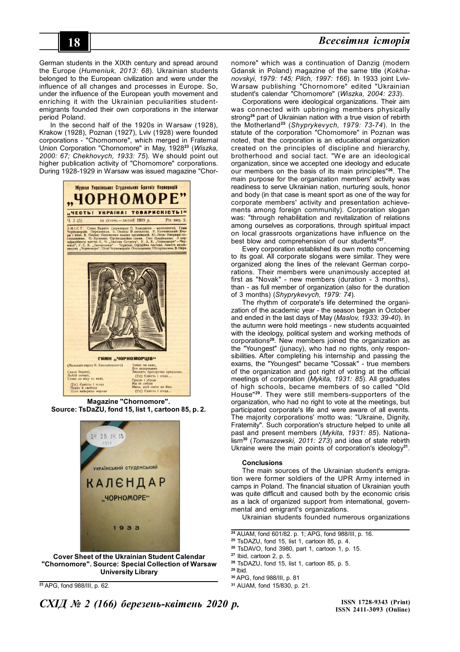# **18** *Соціальна філософія Всесвітня історія*

German students in the XIXth century and spread around the Europe (*Humeniuk, 2013: 68*). Ukrainian students belonged to the European civilization and were under the influence of all changes and processes in Europe. So, under the influence of the European youth movement and enriching it with the Ukrainian peculiarities studentemigrants founded their own corporations in the interwar period Poland.

In the second half of the 1920s in Warsaw (1928), Krakow (1928), Poznan (1927), Lviv (1928) were founded corporations - "Chornomore", which merged in Fraternal Union Corporation "Chornomore" in May, 1928**<sup>23</sup>** (*Wiszka, 2000: 67; Chekhovych, 1933: 75*). We should point out higher publication activity of "Chornomore" corporations. During 1928-1929 in Warsaw was issued magazine "Chor-



**Magazine "Chornomore". Source: TsDaZU, fond 15, list 1, cartoon 85, p. 2.**



**Cover Sheet of the Ukrainian Student Calendar "Chornomore". Source: Special Collection of Warsaw University Library**

**<sup>23</sup>** APG, fond 988/III, p. 62.

nomore" which was a continuation of Danzig (modern Gdansk in Poland) magazine of the same title (*Kokhanovskyi, 1979: 145; Pilch, 1997: 166*). In 1933 joint Lviv-Warsaw publishing "Chornomore" edited "Ukrainian student's calendar "Chornomore" (*Wiszka, 2004: 233*).

Corporations were ideological organizations. Their aim was connected with upbringing members physically strong**<sup>24</sup>** part of Ukrainian nation with a true vision of rebirth the Motherland**<sup>25</sup>** (*Shyprykevych, 1979: 73-74*). In the statute of the corporation "Chornomore" in Poznan was noted, that the corporation is an educational organization created on the principles of discipline and hierarchy, brotherhood and social tact. "We are an ideological organization, since we accepted one ideology and educate our members on the basis of its main principles"**<sup>26</sup>**. The main purpose for the organization members' activity was readiness to serve Ukrainian nation, nurturing souls, honor and body (in that case is meant sport as one of the way for corporate members' activity and presentation achievements among foreign community). Corporation slogan was: "through rehabilitation and revitalization of relations among ourselves as corporations, through spiritual impact on local grassroots organizations have influence on the best blow and comprehension of our students"**<sup>27</sup>** .

Every corporation established its own motto concerning to its goal. All corporate slogans were similar. They were organized along the lines of the relevant German corporations. Their members were unanimously accepted at first as "Novak" - new members (duration - 3 months), than - as full member of organization (also for the duration of 3 months) (*Shyprykevych, 1979: 74*).

The rhythm of corporate's life determined the organization of the academic year - the season began in October and ended in the last days of May (*Maslov, 1933: 39-40*). In the autumn were hold meetings - new students acquainted with the ideology, political system and working methods of corporations**<sup>28</sup>**. New members joined the organization as the "Youngest" (junacy), who had no rights, only responsibilities. After completing his internship and passing the exams, the "Youngest" became "Cossak" - true members of the organization and got right of voting at the official meetings of corporation (*Mykita, 1931: 85*). All graduates of high schools, became members of so called "Old House"**<sup>29</sup>**. They were still members-supporters of the organization, who had no right to vote at the meetings, but participated corporate's life and were aware of all events. The majority corporations' motto was: "Ukraine, Dignity, Fraternity". Such corporation's structure helped to unite all past and present members (*Mykita, 1931: 85*). Nationalism**<sup>30</sup>** (*Tomaszewski, 2011: 273*) and idea of state rebirth Ukraine were the main points of corporation's ideology**<sup>31</sup>** .

### **Conclusions**

The main sources of the Ukrainian student's emigration were former soldiers of the UPR Army interned in camps in Poland. The financial situation of Ukrainian youth was quite difficult and caused both by the economic crisis as a lack of organized support from international, governmental and emigrant's organizations.

Ukrainian students founded numerous organizations

- **<sup>25</sup>** TsDAZU, fond 15, list 1, cartoon 85, p. 4.
- **<sup>26</sup>** TsDAVO, fond 3980, part 1, cartoon 1, p. 15.

**<sup>28</sup>** TsDAZU, fond 15, list 1, cartoon 85, p. 5.

**<sup>30</sup>** APG, fond 988/III, p. 81

*СХІД № 2 (166) березень-квітень 2020 р.*

**ISSN 1728-9343 (Print) ISSN 2411-3093 (Online)**

**<sup>24</sup>** AUAM, fond 601/82. p. 1; APG, fond 988/III, p. 16.

**<sup>27</sup>** Ibid, cartoon 2, p. 5.

**<sup>29</sup>** Ibid.

**<sup>31</sup>** AUAM, fond 15/830, p. 21.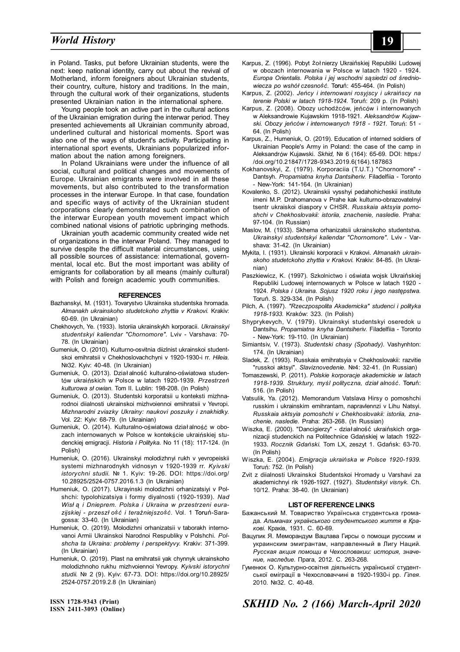### *Social Philosophy* **19** *World History*

in Poland. Tasks, put before Ukrainian students, were the next: keep national identity, carry out about the revival of Motherland, inform foreigners about Ukrainian students, their country, culture, history and traditions. In the main, through the cultural work of their organizations, students presented Ukrainian nation in the international sphere.

Young people took an active part in the cultural actions of the Ukrainian emigration during the interwar period. They presented achievements all Ukrainian community abroad, underlined cultural and historical moments. Sport was also one of the ways of student's activity. Participating in international sport events, Ukrainians popularized information about the nation among foreigners.

In Poland Ukrainians were under the influence of all social, cultural and political changes and movements of Europe. Ukrainian emigrants were involved in all these movements, but also contributed to the transformation processes in the interwar Europe. In that case, foundation and specific ways of activity of the Ukrainian student corporations clearly demonstrated such combination of the interwar European youth movement impact which combined national visions of patriotic upbringing methods.

Ukrainian youth academic community created wide net of organizations in the interwar Poland. They managed to survive despite the difficult material circumstances, using all possible sources of assistance: international, governmental, local etc. But the most important was ability of emigrants for collaboration by all means (mainly cultural) with Polish and foreign academic youth communities.

### **REFERENCES**

- Bazhanskyi, M. (1931). Tovarystvo Ukrainska studentska hromada. *Almanakh ukrainskoho studetckoho zhyttia v Krakovi.* Krakiv: 60-69. (In Ukrainian)
- Chekhovych, Ye. (1933). Istoriia ukrainskykh korporacii. *Ukrainskyi studentskyi kaliendar "Chornomore".* Lviv - Varshava: 70- 78. (In Ukrainian)
- Gumeniuk, O. (2010). Kulturno-osvitnia diizlnist ukrainskoi studentskoi emihratsii v Chekhoslovachchyni v 1920-1930-i rr. *Hileia.* №32. Kyiv: 40-48. (In Ukrainian)
- Gumeniuk, O. (2013). Dział alność kulturalno-oświatowa studentów ukraińskich w Polsce w latach 1920-1939. *Przestrzeń kulturowa sł owian.* Tom II. Lublin: 198-208. (In Polish)
- Gumeniuk, O. (2013). Studentski korporatsii u konteksti mizhnarodnoi diialnosti ukrainskoi mizhvoiennoi emihratsii v Yevropi. *Mizhnarodni zviazky Ukrainy: naukovi poszuky i znakhidky.* Vol. 22: Kyiv: 68-79. (In Ukrainian)
- Gumeniuk, О. (2014). Kulturalno-oświatowa dział alność w obozach internowanych w Polsce w kontekście ukraińskiej studenckiej emigracji. *Historia i Polityka.* No 11 (18): 117-124. (In Polish)
- Humeniuk, O. (2016). Ukrainskyi molodizhnyi rukh v yevropeiskii systemi mizhnarodnykh vidnosyn v 1920-1939 rr. *Kyivski istorychni studii.* № 1. Kyiv: 19-26. DOI: https://doi.org/ 10.28925/2524-0757.2016.1.3 (In Ukrainian)
- Humeniuk, O. (2017). Ukrayinski molodizhni orhanizatsiyi v Polshchi: typolohizatsiya i formy diyalnosti (1920-1939). *Nad Wisł ą i Dnieprem. Polska i Ukraina w przestrzeni eurazijskiej - przeszł ość i teraźniejszość.* Vol. 1 Toruń-Saragossa: 33-40. (In Ukrainian)
- Humeniuk, O. (2019). Molodizhni orhanizatsii v taborakh internovanoi Armii Ukrainskoi Narodnoi Respubliky v Polshchi. *Polshcha ta Ukraina: problemy i perspektyvy.* Krakiv: 371-399. (In Ukrainian)
- Humeniuk, О. (2019). Plast na emihratsii yak chynnyk ukrainskoho molodizhnoho rukhu mizhvoiennoi Yevropy. *Kyivski istorychni studii.* № 2 (9). Kyiv: 67-73. DOI: https://doi.org/10.28925/ 2524-0757.2019.2.8 (In Ukrainian)
- Karpus, Z. (1996). Pobyt żoł nierzy Ukraińskiej Republiki Ludowej w obozach internowania w Polsce w latach 1920 - 1924. *Europa Orientalis. Polska i jej wschodni sąsiedzi od średniowiecza po wshół czesność.* Toruń: 455-464. (In Polish)
- Karpus, Z. (2002). *Jeńcy i internowani rosyjscy i ukraińscy na terenie Polski w latach 1918-1924.* Toruń: 209 p. (In Polish)
- Karpus, Z. (2008). Obozy uchodźców, jeńców i internowanych w Aleksandrowie Kujawskim 1918-1921. *Aleksandrów Kujawski. Obozy jeńców i internowanych 1918 - 1921.* Toruń: 51 - 64. (In Polish)
- Karpus, Z., Humeniuk, O. (2019). Education of interned soldiers of Ukrainian People's Army in Poland: the case of the camp in Aleksandrów Kujawski. *Skhid,* № 6 (164): 65-69. DOI: https:/ /doi.org/10.21847/1728-9343.2019.6(164).187863
- Kokhanovskyi, Z. (1979). Korporaciia (T.U.T.) "Chornomore" Dantsyh. *Propamiatna knyha Dantsiheriv.* Filadelfiia - Toronto - New-York: 141-164. (In Ukrainian)
- Kovalenko, S. (2012). Ukrainskii vysshyi pedahohicheskii institute imeni M.P. Drahomanova v Prahe kak kulturno-obrazovatelnyi tsentr ukraiskoi diaspory v CHSR. *Russkaia aktsyia pomoshchi v Chekhoslovakii: istoriia, znachenie, nasledie.* Praha: 97-104. (In Russian)
- Maslov, M. (1933). Skhema orhanizatsii ukrainskoho studentstva. *Ukrainskyi studentskyi kaliendar "Chornomore".* Lviv - Varshava: 31-42. (In Ukrainian)
- Mykita, I. (1931). Ukrainski korporacii v Krakovi. *Almanakh ukrainskoho studetckoho zhyttia v Krakovi.* Krakiv: 84-85. (In Ukrainian)
- Paszkiewicz, K. (1997). Szkolnictwo i oświаta wojsk Ukraińskiej Republiki Ludowej internowanych w Polsce w latach 1920 - 1924. *Polska i Ukraina. Sojusz 1920 roku i jego następstwa.* Toruń. S. 329-334. (In Polish)
- Pilch, A. (1997). *"Rzeczpospolita Akademicka" studenci i polityka 1918-1933.* Kraków: 323. (In Polish)
- Shyprykevych, V. (1979). Ukrainskyi studentskyi oseredok u Dantsihu. *Propamiatna knyha Dantsiheriv.* Filadelfiia - Toronto - New-York: 19-110. (In Ukrainian)
- Simiantsiv, V. (1973). *Studentski chasy (Spohady).* Vashynhton: 174. (In Ukrainian)
- Sladek, Z. (1993). Russkaia emihratsyia v Chekhoslovakii: razvitie "russkoi aktsyi". *Slaviznovedenie.* №4: 32-41. (In Russian)
- Tomaszewski, P. (2011). *Polskie korporacje akademickie w latach 1918-1939. Struktury, myśl polityczna, dział alność.* Toruń: 516. (In Polish)
- Vatsulik, Ya. (2012). Memorandum Vatslava Hirsy o pomoshchi russkim i ukrainskim emihrantam, napravlennzi v Lihu Natsyi. *Russkaia aktsyia pomoshchi v Chekhoslovakii: istoriia, znachenie, nasledie.* Praha: 263-268. (In Russian)
- Wiszka, E. (2000). "Dancigierzy" dział alność ukraińskich organizacji studenckich na Politechnice Gdańskiej w latach 1922- 1933. *Rocznik Gdański.* Tom LX, zeszyt 1. Gdańsk: 63-70. (In Polish)
- Wiszka, E. (2004). *Emigracja ukraińska w Polsce 1920-1939.* Toruń: 752. (In Polish)
- Zvit z diialnosti Ukrainskoi Studentskoi Hromady u Varshavi za akademichnyi rik 1926-1927. (1927). *Studentskyi visnyk.* Ch. 10/12. Praha: 38-40. (In Ukrainian)

#### **LIST OF REFERENCE LINKS**

- Бажанський М. Товариство Українська студентська громада. *Альманах українського студентського життя в Кракові.* Краків, 1931. С. 60-69.
- Вацулик Я. Меморандум Вацлава Гирсы о помощи русским и украинским эмигрантам, направленный в Лигу Наций. *Русская акция помощи в Чехословакии: история, значение, наследие.* Прага, 2012. C. 263-268.
- Гуменюк О. Культурно-освітня діяльність української студентської еміграції в Чехословаччині в 1920-1930-і рр. *Гілея.* 2010. №32. С. 40-48.

**ISSN 1728-9343 (Print) ISSN 2411-3093 (Online)** *SKHID No. 2 (166) March-April 2020*